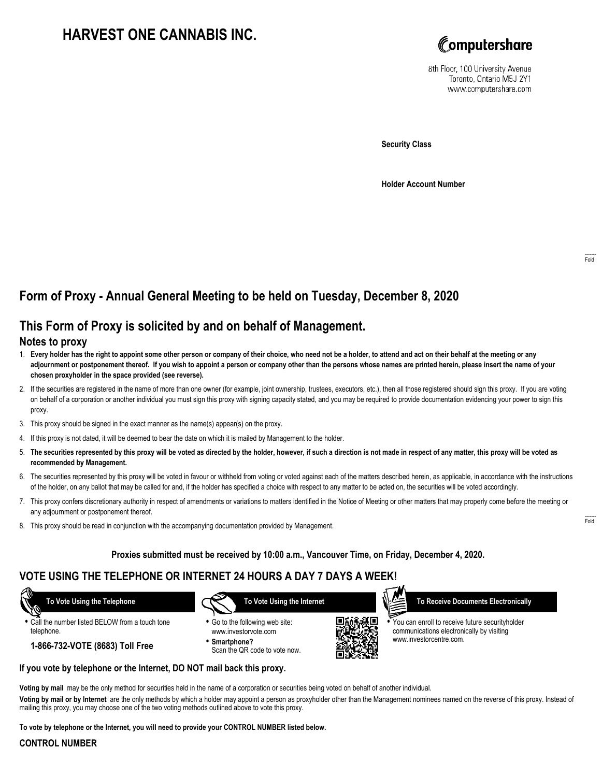# **HARVEST ONE CANNABIS INC.**



8th Floor, 100 University Avenue Toronto, Ontario M5J 2Y1 www.computershare.com

**Security Class**

**Holder Account Number**

# **Form of Proxy - Annual General Meeting to be held on Tuesday, December 8, 2020**

## **This Form of Proxy is solicited by and on behalf of Management.**

#### **Notes to proxy**

- 1. **Every holder has the right to appoint some other person or company of their choice, who need not be a holder, to attend and act on their behalf at the meeting or any adjournment or postponement thereof. If you wish to appoint a person or company other than the persons whose names are printed herein, please insert the name of your chosen proxyholder in the space provided (see reverse).**
- 2. If the securities are registered in the name of more than one owner (for example, joint ownership, trustees, executors, etc.), then all those registered should sign this proxy. If you are voting on behalf of a corporation or another individual you must sign this proxy with signing capacity stated, and you may be required to provide documentation evidencing your power to sign this proxy.
- 3. This proxy should be signed in the exact manner as the name(s) appear(s) on the proxy.
- 4. If this proxy is not dated, it will be deemed to bear the date on which it is mailed by Management to the holder.
- 5. **The securities represented by this proxy will be voted as directed by the holder, however, if such a direction is not made in respect of any matter, this proxy will be voted as recommended by Management.**
- 6. The securities represented by this proxy will be voted in favour or withheld from voting or voted against each of the matters described herein, as applicable, in accordance with the instructions of the holder, on any ballot that may be called for and, if the holder has specified a choice with respect to any matter to be acted on, the securities will be voted accordingly.
- 7. This proxy confers discretionary authority in respect of amendments or variations to matters identified in the Notice of Meeting or other matters that may properly come before the meeting or any adjournment or postponement thereof.
- 8. This proxy should be read in conjunction with the accompanying documentation provided by Management.

#### **Proxies submitted must be received by 10:00 a.m., Vancouver Time, on Friday, December 4, 2020.**

## **VOTE USING THE TELEPHONE OR INTERNET 24 HOURS A DAY 7 DAYS A WEEK!**

 **To Vote Using the Telephone**

- **•** Call the number listed BELOW from a touch tone telephone.
	- **1-866-732-VOTE (8683) Toll Free**



- **•** Go to the following web site: www.investorvote.com
- **• Smartphone?** Scan the QR code to vote now.



 **To Receive Documents Electronically**

**•** You can enroll to receive future securityholder communications electronically by visiting www.investorcentre.com.

**Voting by mail** may be the only method for securities held in the name of a corporation or securities being voted on behalf of another individual.

**Voting by mail or by Internet** are the only methods by which a holder may appoint a person as proxyholder other than the Management nominees named on the reverse of this proxy. Instead of mailing this proxy, you may choose one of the two voting methods outlined above to vote this proxy.

**To vote by telephone or the Internet, you will need to provide your CONTROL NUMBER listed below.**

**If you vote by telephone or the Internet, DO NOT mail back this proxy.**

#### **CONTROL NUMBER**